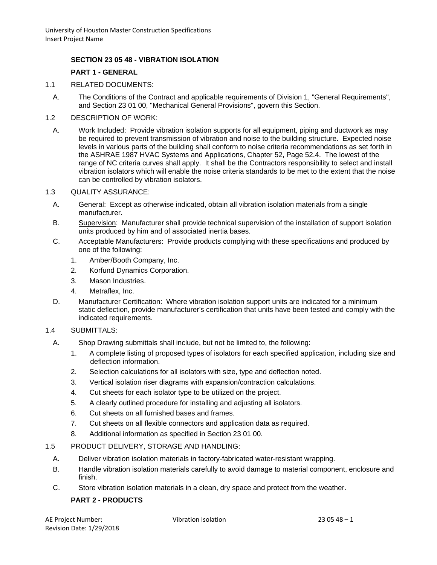## **SECTION 23 05 48 - VIBRATION ISOLATION**

## **PART 1 - GENERAL**

- 1.1 RELATED DOCUMENTS:
	- A. The Conditions of the Contract and applicable requirements of Division 1, "General Requirements", and Section 23 01 00, "Mechanical General Provisions", govern this Section.
- 1.2 DESCRIPTION OF WORK:
	- A. Work Included: Provide vibration isolation supports for all equipment, piping and ductwork as may be required to prevent transmission of vibration and noise to the building structure. Expected noise levels in various parts of the building shall conform to noise criteria recommendations as set forth in the ASHRAE 1987 HVAC Systems and Applications, Chapter 52, Page 52.4. The lowest of the range of NC criteria curves shall apply. It shall be the Contractors responsibility to select and install vibration isolators which will enable the noise criteria standards to be met to the extent that the noise can be controlled by vibration isolators.
- 1.3 QUALITY ASSURANCE:
	- A. General: Except as otherwise indicated, obtain all vibration isolation materials from a single manufacturer.
	- B. Supervision: Manufacturer shall provide technical supervision of the installation of support isolation units produced by him and of associated inertia bases.
	- C. Acceptable Manufacturers: Provide products complying with these specifications and produced by one of the following:
		- 1. Amber/Booth Company, Inc.
		- 2. Korfund Dynamics Corporation.
		- 3. Mason Industries.
		- 4. Metraflex, Inc.
	- D. Manufacturer Certification: Where vibration isolation support units are indicated for a minimum static deflection, provide manufacturer's certification that units have been tested and comply with the indicated requirements.
- 1.4 SUBMITTALS:
	- A. Shop Drawing submittals shall include, but not be limited to, the following:
		- 1. A complete listing of proposed types of isolators for each specified application, including size and deflection information.
		- 2. Selection calculations for all isolators with size, type and deflection noted.
		- 3. Vertical isolation riser diagrams with expansion/contraction calculations.
		- 4. Cut sheets for each isolator type to be utilized on the project.
		- 5. A clearly outlined procedure for installing and adjusting all isolators.
		- 6. Cut sheets on all furnished bases and frames.
		- 7. Cut sheets on all flexible connectors and application data as required.
		- 8. Additional information as specified in Section 23 01 00.
- 1.5 PRODUCT DELIVERY, STORAGE AND HANDLING:
	- A. Deliver vibration isolation materials in factory-fabricated water-resistant wrapping.
	- B. Handle vibration isolation materials carefully to avoid damage to material component, enclosure and finish.
	- C. Store vibration isolation materials in a clean, dry space and protect from the weather.

## **PART 2 - PRODUCTS**

| AE Project Number:              |  |
|---------------------------------|--|
| <b>Revision Date: 1/29/2018</b> |  |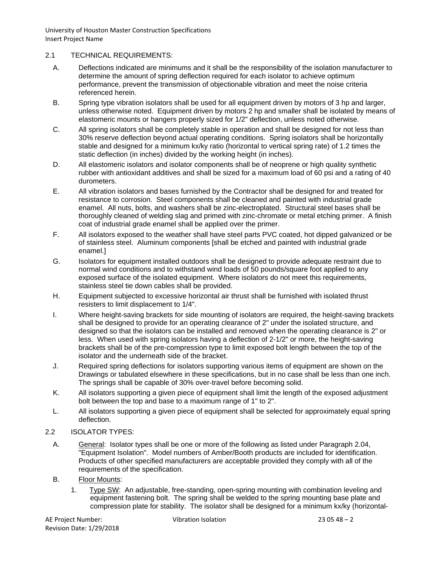## 2.1 TECHNICAL REQUIREMENTS:

- A. Deflections indicated are minimums and it shall be the responsibility of the isolation manufacturer to determine the amount of spring deflection required for each isolator to achieve optimum performance, prevent the transmission of objectionable vibration and meet the noise criteria referenced herein.
- B. Spring type vibration isolators shall be used for all equipment driven by motors of 3 hp and larger, unless otherwise noted. Equipment driven by motors 2 hp and smaller shall be isolated by means of elastomeric mounts or hangers properly sized for 1/2" deflection, unless noted otherwise.
- C. All spring isolators shall be completely stable in operation and shall be designed for not less than 30% reserve deflection beyond actual operating conditions. Spring isolators shall be horizontally stable and designed for a minimum kx/ky ratio (horizontal to vertical spring rate) of 1.2 times the static deflection (in inches) divided by the working height (in inches).
- D. All elastomeric isolators and isolator components shall be of neoprene or high quality synthetic rubber with antioxidant additives and shall be sized for a maximum load of 60 psi and a rating of 40 durometers.
- E. All vibration isolators and bases furnished by the Contractor shall be designed for and treated for resistance to corrosion. Steel components shall be cleaned and painted with industrial grade enamel. All nuts, bolts, and washers shall be zinc-electroplated. Structural steel bases shall be thoroughly cleaned of welding slag and primed with zinc-chromate or metal etching primer. A finish coat of industrial grade enamel shall be applied over the primer.
- F. All isolators exposed to the weather shall have steel parts PVC coated, hot dipped galvanized or be of stainless steel. Aluminum components [shall be etched and painted with industrial grade enamel.]
- G. Isolators for equipment installed outdoors shall be designed to provide adequate restraint due to normal wind conditions and to withstand wind loads of 50 pounds/square foot applied to any exposed surface of the isolated equipment. Where isolators do not meet this requirements, stainless steel tie down cables shall be provided.
- H. Equipment subjected to excessive horizontal air thrust shall be furnished with isolated thrust resisters to limit displacement to 1/4".
- I. Where height-saving brackets for side mounting of isolators are required, the height-saving brackets shall be designed to provide for an operating clearance of 2" under the isolated structure, and designed so that the isolators can be installed and removed when the operating clearance is 2" or less. When used with spring isolators having a deflection of 2-1/2" or more, the height-saving brackets shall be of the pre-compression type to limit exposed bolt length between the top of the isolator and the underneath side of the bracket.
- J. Required spring deflections for isolators supporting various items of equipment are shown on the Drawings or tabulated elsewhere in these specifications, but in no case shall be less than one inch. The springs shall be capable of 30% over-travel before becoming solid.
- K. All isolators supporting a given piece of equipment shall limit the length of the exposed adjustment bolt between the top and base to a maximum range of 1" to 2".
- L. All isolators supporting a given piece of equipment shall be selected for approximately equal spring deflection.
- 2.2 ISOLATOR TYPES:
	- A. General: Isolator types shall be one or more of the following as listed under Paragraph 2.04, "Equipment Isolation". Model numbers of Amber/Booth products are included for identification. Products of other specified manufacturers are acceptable provided they comply with all of the requirements of the specification.
	- B. Floor Mounts:
		- 1. Type SW: An adjustable, free-standing, open-spring mounting with combination leveling and equipment fastening bolt. The spring shall be welded to the spring mounting base plate and compression plate for stability. The isolator shall be designed for a minimum kx/ky (horizontal-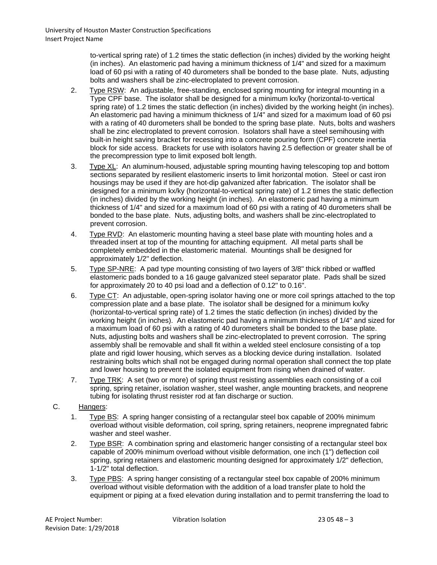to-vertical spring rate) of 1.2 times the static deflection (in inches) divided by the working height (in inches). An elastomeric pad having a minimum thickness of 1/4" and sized for a maximum load of 60 psi with a rating of 40 durometers shall be bonded to the base plate. Nuts, adjusting bolts and washers shall be zinc-electroplated to prevent corrosion.

- 2. Type RSW: An adjustable, free-standing, enclosed spring mounting for integral mounting in a Type CPF base. The isolator shall be designed for a minimum kx/ky (horizontal-to-vertical spring rate) of 1.2 times the static deflection (in inches) divided by the working height (in inches). An elastomeric pad having a minimum thickness of 1/4" and sized for a maximum load of 60 psi with a rating of 40 durometers shall be bonded to the spring base plate. Nuts, bolts and washers shall be zinc electroplated to prevent corrosion. Isolators shall have a steel semihousing with built-in height saving bracket for recessing into a concrete pouring form (CPF) concrete inertia block for side access. Brackets for use with isolators having 2.5 deflection or greater shall be of the precompression type to limit exposed bolt length.
- 3. Type XL: An aluminum-housed, adjustable spring mounting having telescoping top and bottom sections separated by resilient elastomeric inserts to limit horizontal motion. Steel or cast iron housings may be used if they are hot-dip galvanized after fabrication. The isolator shall be designed for a minimum kx/ky (horizontal-to-vertical spring rate) of 1.2 times the static deflection (in inches) divided by the working height (in inches). An elastomeric pad having a minimum thickness of 1/4" and sized for a maximum load of 60 psi with a rating of 40 durometers shall be bonded to the base plate. Nuts, adjusting bolts, and washers shall be zinc-electroplated to prevent corrosion.
- 4. Type RVD: An elastomeric mounting having a steel base plate with mounting holes and a threaded insert at top of the mounting for attaching equipment. All metal parts shall be completely embedded in the elastomeric material. Mountings shall be designed for approximately 1/2" deflection.
- 5. Type SP-NRE: A pad type mounting consisting of two layers of 3/8" thick ribbed or waffled elastomeric pads bonded to a 16 gauge galvanized steel separator plate. Pads shall be sized for approximately 20 to 40 psi load and a deflection of 0.12" to 0.16".
- 6. Type CT: An adjustable, open-spring isolator having one or more coil springs attached to the top compression plate and a base plate. The isolator shall be designed for a minimum kx/ky (horizontal-to-vertical spring rate) of 1.2 times the static deflection (in inches) divided by the working height (in inches). An elastomeric pad having a minimum thickness of 1/4" and sized for a maximum load of 60 psi with a rating of 40 durometers shall be bonded to the base plate. Nuts, adjusting bolts and washers shall be zinc-electroplated to prevent corrosion. The spring assembly shall be removable and shall fit within a welded steel enclosure consisting of a top plate and rigid lower housing, which serves as a blocking device during installation. Isolated restraining bolts which shall not be engaged during normal operation shall connect the top plate and lower housing to prevent the isolated equipment from rising when drained of water.
- 7. Type TRK: A set (two or more) of spring thrust resisting assemblies each consisting of a coil spring, spring retainer, isolation washer, steel washer, angle mounting brackets, and neoprene tubing for isolating thrust resister rod at fan discharge or suction.

## C. Hangers:

- 1. Type BS: A spring hanger consisting of a rectangular steel box capable of 200% minimum overload without visible deformation, coil spring, spring retainers, neoprene impregnated fabric washer and steel washer.
- 2. Type BSR: A combination spring and elastomeric hanger consisting of a rectangular steel box capable of 200% minimum overload without visible deformation, one inch (1") deflection coil spring, spring retainers and elastomeric mounting designed for approximately 1/2" deflection, 1-1/2" total deflection.
- 3. Type PBS: A spring hanger consisting of a rectangular steel box capable of 200% minimum overload without visible deformation with the addition of a load transfer plate to hold the equipment or piping at a fixed elevation during installation and to permit transferring the load to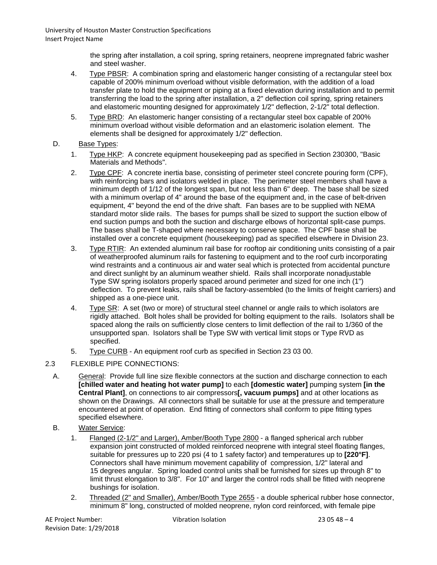> the spring after installation, a coil spring, spring retainers, neoprene impregnated fabric washer and steel washer.

- 4. Type PBSR: A combination spring and elastomeric hanger consisting of a rectangular steel box capable of 200% minimum overload without visible deformation, with the addition of a load transfer plate to hold the equipment or piping at a fixed elevation during installation and to permit transferring the load to the spring after installation, a 2" deflection coil spring, spring retainers and elastomeric mounting designed for approximately  $1/2$ " deflection,  $2-1/2$ " total deflection.
- 5. Type BRD: An elastomeric hanger consisting of a rectangular steel box capable of 200% minimum overload without visible deformation and an elastomeric isolation element. The elements shall be designed for approximately 1/2" deflection.
- D. Base Types:
	- 1. Type HKP: A concrete equipment housekeeping pad as specified in Section 230300, "Basic Materials and Methods".
	- 2. Type CPF: A concrete inertia base, consisting of perimeter steel concrete pouring form (CPF), with reinforcing bars and isolators welded in place. The perimeter steel members shall have a minimum depth of 1/12 of the longest span, but not less than 6" deep. The base shall be sized with a minimum overlap of 4" around the base of the equipment and, in the case of belt-driven equipment, 4" beyond the end of the drive shaft. Fan bases are to be supplied with NEMA standard motor slide rails. The bases for pumps shall be sized to support the suction elbow of end suction pumps and both the suction and discharge elbows of horizontal split-case pumps. The bases shall be T-shaped where necessary to conserve space. The CPF base shall be installed over a concrete equipment (housekeeping) pad as specified elsewhere in Division 23.
	- 3. Type RTIR: An extended aluminum rail base for rooftop air conditioning units consisting of a pair of weatherproofed aluminum rails for fastening to equipment and to the roof curb incorporating wind restraints and a continuous air and water seal which is protected from accidental puncture and direct sunlight by an aluminum weather shield. Rails shall incorporate nonadjustable Type SW spring isolators properly spaced around perimeter and sized for one inch (1") deflection. To prevent leaks, rails shall be factory-assembled (to the limits of freight carriers) and shipped as a one-piece unit.
	- 4. Type SR: A set (two or more) of structural steel channel or angle rails to which isolators are rigidly attached. Bolt holes shall be provided for bolting equipment to the rails. Isolators shall be spaced along the rails on sufficiently close centers to limit deflection of the rail to 1/360 of the unsupported span. Isolators shall be Type SW with vertical limit stops or Type RVD as specified.
	- 5. Type CURB An equipment roof curb as specified in Section 23 03 00.
- 2.3 FLEXIBLE PIPE CONNECTIONS:
	- A. General: Provide full line size flexible connectors at the suction and discharge connection to each **[chilled water and heating hot water pump]** to each **[domestic water]** pumping system **[in the Central Plant]**, on connections to air compressors**[, vacuum pumps]** and at other locations as shown on the Drawings. All connectors shall be suitable for use at the pressure and temperature encountered at point of operation. End fitting of connectors shall conform to pipe fitting types specified elsewhere.
	- B. Water Service:
		- 1. Flanged (2-1/2" and Larger), Amber/Booth Type 2800 a flanged spherical arch rubber expansion joint constructed of molded reinforced neoprene with integral steel floating flanges, suitable for pressures up to 220 psi (4 to 1 safety factor) and temperatures up to **[220°F]**. Connectors shall have minimum movement capability of compression, 1/2" lateral and 15 degrees angular. Spring loaded control units shall be furnished for sizes up through 8" to limit thrust elongation to 3/8". For 10" and larger the control rods shall be fitted with neoprene bushings for isolation.
		- 2. Threaded (2" and Smaller), Amber/Booth Type 2655 a double spherical rubber hose connector, minimum 8" long, constructed of molded neoprene, nylon cord reinforced, with female pipe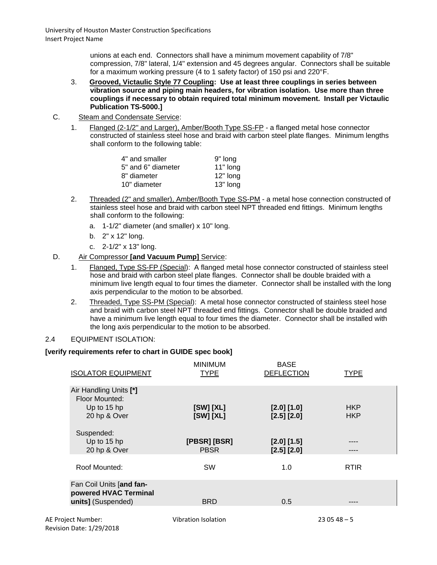unions at each end. Connectors shall have a minimum movement capability of 7/8" compression, 7/8" lateral, 1/4" extension and 45 degrees angular. Connectors shall be suitable for a maximum working pressure (4 to 1 safety factor) of 150 psi and 220°F.

- 3. **Grooved, Victaulic Style 77 Coupling: Use at least three couplings in series between vibration source and piping main headers, for vibration isolation. Use more than three couplings if necessary to obtain required total minimum movement. Install per Victaulic Publication TS-5000.]**
- C. Steam and Condensate Service:
	- 1. Flanged (2-1/2" and Larger), Amber/Booth Type SS-FP a flanged metal hose connector constructed of stainless steel hose and braid with carbon steel plate flanges. Minimum lengths shall conform to the following table:

| 4" and smaller     | 9" long  |
|--------------------|----------|
| 5" and 6" diameter | 11" long |
| 8" diameter        | 12" long |
| 10" diameter       | 13" long |

- 2. Threaded (2" and smaller), Amber/Booth Type SS-PM a metal hose connection constructed of stainless steel hose and braid with carbon steel NPT threaded end fittings. Minimum lengths shall conform to the following:
	- a. 1-1/2" diameter (and smaller) x 10" long.
	- b. 2" x 12" long.
	- c. 2-1/2" x 13" long.
- D. Air Compressor **[and Vacuum Pump]** Service:
	- 1. Flanged, Type SS-FP (Special): A flanged metal hose connector constructed of stainless steel hose and braid with carbon steel plate flanges. Connector shall be double braided with a minimum live length equal to four times the diameter. Connector shall be installed with the long axis perpendicular to the motion to be absorbed.
	- 2. Threaded, Type SS-PM (Special): A metal hose connector constructed of stainless steel hose and braid with carbon steel NPT threaded end fittings. Connector shall be double braided and have a minimum live length equal to four times the diameter. Connector shall be installed with the long axis perpendicular to the motion to be absorbed.

## 2.4 EQUIPMENT ISOLATION:

## **[verify requirements refer to chart in GUIDE spec book]**

| <b>ISOLATOR EQUIPMENT</b>                                               | <b>MINIMUM</b><br><b>TYPE</b> | <b>BASE</b><br><b>DEFLECTION</b> | <b>TYPE</b>              |  |
|-------------------------------------------------------------------------|-------------------------------|----------------------------------|--------------------------|--|
| Air Handling Units [*]<br>Floor Mounted:<br>Up to 15 hp<br>20 hp & Over | [SW] [XL]<br>[SW] [XL]        | [2.0] [1.0]<br>$[2.5]$ $[2.0]$   | <b>HKP</b><br><b>HKP</b> |  |
| Suspended:<br>Up to 15 hp<br>20 hp & Over                               | [PBSR] [BSR]<br><b>PBSR</b>   | [2.0] [1.5]<br>[2.5] [2.0]       |                          |  |
| Roof Mounted:                                                           | <b>SW</b>                     | 1.0                              | <b>RTIR</b>              |  |
| Fan Coil Units [and fan-<br>powered HVAC Terminal<br>units] (Suspended) | <b>BRD</b>                    | 0.5                              |                          |  |
| AE Project Number:                                                      | Vibration Isolation           |                                  | $230548 - 5$             |  |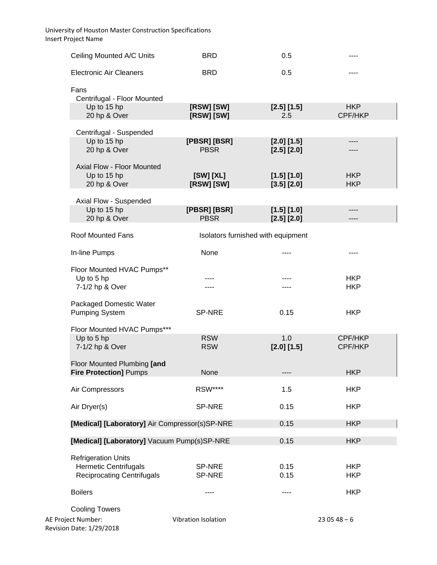| Ceiling Mounted A/C Units                                                                       | <b>BRD</b>                  | 0.5                                |                          |
|-------------------------------------------------------------------------------------------------|-----------------------------|------------------------------------|--------------------------|
| <b>Electronic Air Cleaners</b>                                                                  | <b>BRD</b>                  | 0.5                                |                          |
| Fans<br>Centrifugal - Floor Mounted                                                             |                             |                                    |                          |
| Up to 15 hp<br>20 hp & Over                                                                     | [RSW] [SW]<br>[RSW] [SW]    | [2.5] [1.5]<br>2.5                 | <b>HKP</b><br>CPF/HKP    |
| Centrifugal - Suspended                                                                         |                             |                                    |                          |
| Up to 15 hp<br>20 hp & Over                                                                     | [PBSR] [BSR]<br><b>PBSR</b> | [2.0] [1.5]<br>$[2.5]$ $[2.0]$     | ----                     |
| Axial Flow - Floor Mounted<br>Up to 15 hp<br>20 hp & Over                                       | [SW] [XL]<br>[RSW] [SW]     | [1.5] [1.0]<br>[3.5] [2.0]         | <b>HKP</b><br><b>HKP</b> |
| Axial Flow - Suspended                                                                          |                             |                                    |                          |
| Up to 15 hp<br>20 hp & Over                                                                     | [PBSR] [BSR]<br><b>PBSR</b> | [1.5] [1.0]<br>$[2.5]$ $[2.0]$     | ----<br>----             |
| Roof Mounted Fans                                                                               |                             | Isolators furnished with equipment |                          |
| In-line Pumps                                                                                   | None                        |                                    |                          |
| Floor Mounted HVAC Pumps**<br>Up to 5 hp<br>7-1/2 hp & Over                                     | ----                        |                                    | <b>HKP</b><br><b>HKP</b> |
| Packaged Domestic Water<br><b>Pumping System</b>                                                | SP-NRE                      | 0.15                               | <b>HKP</b>               |
| Floor Mounted HVAC Pumps***<br>Up to 5 hp<br>7-1/2 hp & Over                                    | <b>RSW</b><br><b>RSW</b>    | 1.0<br>[2.0] [1.5]                 | CPF/HKP<br>CPF/HKP       |
| Floor Mounted Plumbing [and<br><b>Fire Protection] Pumps</b>                                    | None                        |                                    | <b>HKP</b>               |
| Air Compressors                                                                                 | <b>RSW****</b>              | 1.5                                | <b>HKP</b>               |
| Air Dryer(s)                                                                                    | SP-NRE                      | 0.15                               | <b>HKP</b>               |
| [Medical] [Laboratory] Air Compressor(s)SP-NRE                                                  |                             | 0.15                               | <b>HKP</b>               |
| [Medical] [Laboratory] Vacuum Pump(s)SP-NRE                                                     |                             | 0.15                               | <b>HKP</b>               |
| <b>Refrigeration Units</b><br><b>Hermetic Centrifugals</b><br><b>Reciprocating Centrifugals</b> | SP-NRE<br>SP-NRE            | 0.15<br>0.15                       | <b>HKP</b><br><b>HKP</b> |
| <b>Boilers</b>                                                                                  |                             |                                    | <b>HKP</b>               |
| <b>Cooling Towers</b><br>AE Project Number:<br>Revision Date: 1/29/2018                         | Vibration Isolation         |                                    | $230548 - 6$             |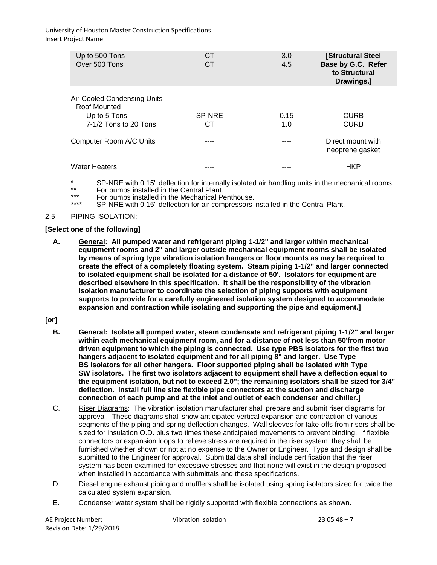| Up to 500 Tons<br>Over 500 Tons                                                      | СT<br>СT     | 3.0<br>4.5  | [Structural Steel<br>Base by G.C. Refer<br>to Structural<br>Drawings.] |
|--------------------------------------------------------------------------------------|--------------|-------------|------------------------------------------------------------------------|
| Air Cooled Condensing Units<br>Roof Mounted<br>Up to 5 Tons<br>7-1/2 Tons to 20 Tons | SP-NRE<br>CТ | 0.15<br>1.0 | <b>CURB</b><br><b>CURB</b>                                             |
| Computer Room A/C Units                                                              |              |             | Direct mount with<br>neoprene gasket                                   |
| <b>Water Heaters</b>                                                                 |              |             | HKP                                                                    |

\* SP-NRE with 0.15" deflection for internally isolated air handling units in the mechanical rooms.<br>\*\* For pumps installed in the Central Plant.

- \*\*\* For pumps installed in the Mechanical Penthouse.<br>\*\*\*\* PRAIRE with 0.15" deflection for air compressors is
- SP-NRE with 0.15" deflection for air compressors installed in the Central Plant.

#### 2.5 PIPING ISOLATION:

#### **[Select one of the following]**

**A. General: All pumped water and refrigerant piping 1-1/2" and larger within mechanical equipment rooms and 2" and larger outside mechanical equipment rooms shall be isolated by means of spring type vibration isolation hangers or floor mounts as may be required to create the effect of a completely floating system. Steam piping 1-1/2" and larger connected to isolated equipment shall be isolated for a distance of 50'. Isolators for equipment are described elsewhere in this specification. It shall be the responsibility of the vibration isolation manufacturer to coordinate the selection of piping supports with equipment supports to provide for a carefully engineered isolation system designed to accommodate expansion and contraction while isolating and supporting the pipe and equipment.]**

## **[or]**

- **B. General: Isolate all pumped water, steam condensate and refrigerant piping 1-1/2" and larger within each mechanical equipment room, and for a distance of not less than 50'from motor driven equipment to which the piping is connected. Use type PBS isolators for the first two hangers adjacent to isolated equipment and for all piping 8" and larger. Use Type BS isolators for all other hangers. Floor supported piping shall be isolated with Type SW isolators. The first two isolators adjacent to equipment shall have a deflection equal to the equipment isolation, but not to exceed 2.0"; the remaining isolators shall be sized for 3/4" deflection. Install full line size flexible pipe connectors at the suction and discharge connection of each pump and at the inlet and outlet of each condenser and chiller.]**
- C. Riser Diagrams: The vibration isolation manufacturer shall prepare and submit riser diagrams for approval. These diagrams shall show anticipated vertical expansion and contraction of various segments of the piping and spring deflection changes. Wall sleeves for take-offs from risers shall be sized for insulation O.D. plus two times these anticipated movements to prevent binding. If flexible connectors or expansion loops to relieve stress are required in the riser system, they shall be furnished whether shown or not at no expense to the Owner or Engineer. Type and design shall be submitted to the Engineer for approval. Submittal data shall include certification that the riser system has been examined for excessive stresses and that none will exist in the design proposed when installed in accordance with submittals and these specifications.
- D. Diesel engine exhaust piping and mufflers shall be isolated using spring isolators sized for twice the calculated system expansion.
- E. Condenser water system shall be rigidly supported with flexible connections as shown.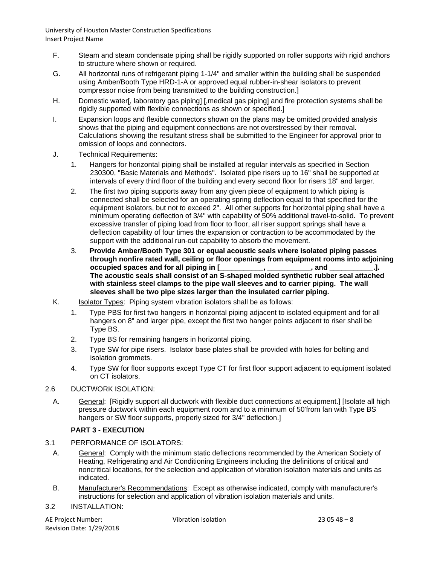- F. Steam and steam condensate piping shall be rigidly supported on roller supports with rigid anchors to structure where shown or required.
- G. All horizontal runs of refrigerant piping 1-1/4" and smaller within the building shall be suspended using Amber/Booth Type HRD-1-A or approved equal rubber-in-shear isolators to prevent compressor noise from being transmitted to the building construction.]
- H. Domestic water[, laboratory gas piping] [,medical gas piping] and fire protection systems shall be rigidly supported with flexible connections as shown or specified.]
- I. Expansion loops and flexible connectors shown on the plans may be omitted provided analysis shows that the piping and equipment connections are not overstressed by their removal. Calculations showing the resultant stress shall be submitted to the Engineer for approval prior to omission of loops and connectors.
- J. Technical Requirements:
	- 1. Hangers for horizontal piping shall be installed at regular intervals as specified in Section 230300, "Basic Materials and Methods". Isolated pipe risers up to 16" shall be supported at intervals of every third floor of the building and every second floor for risers 18" and larger.
	- 2. The first two piping supports away from any given piece of equipment to which piping is connected shall be selected for an operating spring deflection equal to that specified for the equipment isolators, but not to exceed 2". All other supports for horizontal piping shall have a minimum operating deflection of 3/4" with capability of 50% additional travel-to-solid. To prevent excessive transfer of piping load from floor to floor, all riser support springs shall have a deflection capability of four times the expansion or contraction to be accommodated by the support with the additional run-out capability to absorb the movement.
	- 3. **Provide Amber/Booth Type 301 or equal acoustic seals where isolated piping passes through nonfire rated wall, ceiling or floor openings from equipment rooms into adjoining occupied spaces and for all piping in [ The acoustic seals shall consist of an S-shaped molded synthetic rubber seal attached with stainless steel clamps to the pipe wall sleeves and to carrier piping. The wall sleeves shall be two pipe sizes larger than the insulated carrier piping.**
- K. **Isolator Types:** Piping system vibration isolators shall be as follows:
	- 1. Type PBS for first two hangers in horizontal piping adjacent to isolated equipment and for all hangers on 8" and larger pipe, except the first two hanger points adjacent to riser shall be Type BS.
	- 2. Type BS for remaining hangers in horizontal piping.
	- 3. Type SW for pipe risers. Isolator base plates shall be provided with holes for bolting and isolation grommets.
	- 4. Type SW for floor supports except Type CT for first floor support adjacent to equipment isolated on CT isolators.
- 2.6 DUCTWORK ISOLATION:
	- A. General: [Rigidly support all ductwork with flexible duct connections at equipment.] [Isolate all high pressure ductwork within each equipment room and to a minimum of 50'from fan with Type BS hangers or SW floor supports, properly sized for 3/4" deflection.]

## **PART 3 - EXECUTION**

- 3.1 PERFORMANCE OF ISOLATORS:
	- A. General: Comply with the minimum static deflections recommended by the American Society of Heating, Refrigerating and Air Conditioning Engineers including the definitions of critical and noncritical locations, for the selection and application of vibration isolation materials and units as indicated.
	- B. Manufacturer's Recommendations: Except as otherwise indicated, comply with manufacturer's instructions for selection and application of vibration isolation materials and units.
- 3.2 INSTALLATION:

AE Project Number: Vibration Isolation 23 05 48 – 8 Revision Date: 1/29/2018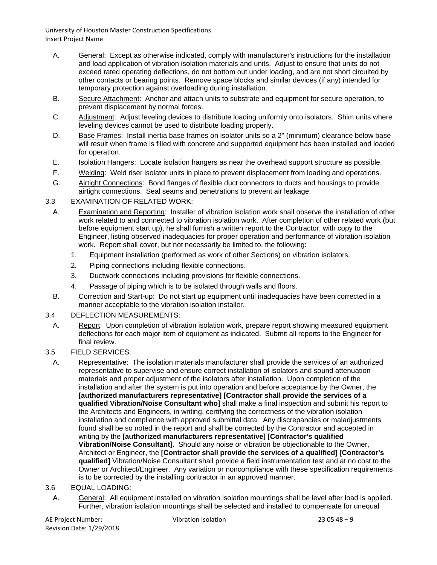- A. General: Except as otherwise indicated, comply with manufacturer's instructions for the installation and load application of vibration isolation materials and units. Adjust to ensure that units do not exceed rated operating deflections, do not bottom out under loading, and are not short circuited by other contacts or bearing points. Remove space blocks and similar devices (if any) intended for temporary protection against overloading during installation.
- B. Secure Attachment: Anchor and attach units to substrate and equipment for secure operation, to prevent displacement by normal forces.
- C. Adjustment: Adjust leveling devices to distribute loading uniformly onto isolators. Shim units where leveling devices cannot be used to distribute loading properly.
- D. Base Frames: Install inertia base frames on isolator units so a 2" (minimum) clearance below base will result when frame is filled with concrete and supported equipment has been installed and loaded for operation.
- E. Isolation Hangers: Locate isolation hangers as near the overhead support structure as possible.
- F. Welding: Weld riser isolator units in place to prevent displacement from loading and operations.
- G. Airtight Connections: Bond flanges of flexible duct connectors to ducts and housings to provide airtight connections. Seal seams and penetrations to prevent air leakage.
- 3.3 EXAMINATION OF RELATED WORK:
	- A. Examination and Reporting: Installer of vibration isolation work shall observe the installation of other work related to and connected to vibration isolation work. After completion of other related work (but before equipment start up), he shall furnish a written report to the Contractor, with copy to the Engineer, listing observed inadequacies for proper operation and performance of vibration isolation work. Report shall cover, but not necessarily be limited to, the following:
		- 1. Equipment installation (performed as work of other Sections) on vibration isolators.
		- 2. Piping connections including flexible connections.
		- 3. Ductwork connections including provisions for flexible connections.
		- 4. Passage of piping which is to be isolated through walls and floors.
	- B. Correction and Start-up: Do not start up equipment until inadequacies have been corrected in a manner acceptable to the vibration isolation installer.

## 3.4 DEFLECTION MEASUREMENTS:

- A. Report: Upon completion of vibration isolation work, prepare report showing measured equipment deflections for each major item of equipment as indicated. Submit all reports to the Engineer for final review.
- 3.5 FIELD SERVICES:
- A. Representative: The isolation materials manufacturer shall provide the services of an authorized representative to supervise and ensure correct installation of isolators and sound attenuation materials and proper adjustment of the isolators after installation. Upon completion of the installation and after the system is put into operation and before acceptance by the Owner, the **[authorized manufacturers representative] [Contractor shall provide the services of a qualified Vibration/Noise Consultant who]** shall make a final inspection and submit his report to the Architects and Engineers, in writing, certifying the correctness of the vibration isolation installation and compliance with approved submittal data. Any discrepancies or maladjustments found shall be so noted in the report and shall be corrected by the Contractor and accepted in writing by the **[authorized manufacturers representative] [Contractor's qualified Vibration/Noise Consultant].** Should any noise or vibration be objectionable to the Owner, Architect or Engineer, the **[Contractor shall provide the services of a qualified] [Contractor's qualified]** Vibration/Noise Consultant shall provide a field instrumentation test and at no cost to the Owner or Architect/Engineer. Any variation or noncompliance with these specification requirements is to be corrected by the installing contractor in an approved manner.
- 3.6 EQUAL LOADING:
	- A. General: All equipment installed on vibration isolation mountings shall be level after load is applied. Further, vibration isolation mountings shall be selected and installed to compensate for unequal